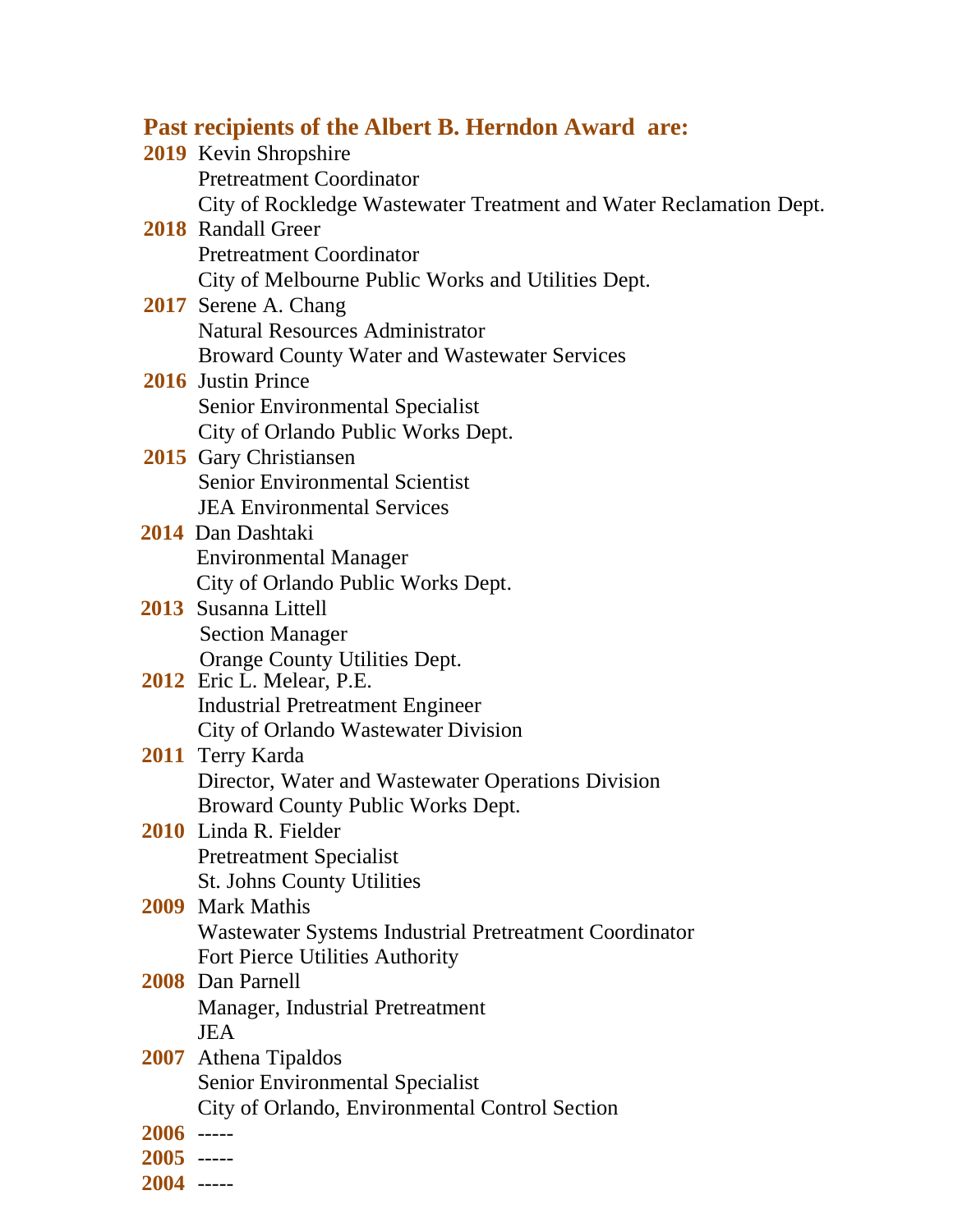## **Past recipients of the Albert B. Herndon Award are:**

|              | <b>2019</b> Kevin Shropshire                                       |
|--------------|--------------------------------------------------------------------|
|              | <b>Pretreatment Coordinator</b>                                    |
|              | City of Rockledge Wastewater Treatment and Water Reclamation Dept. |
|              | <b>2018</b> Randall Greer                                          |
|              | <b>Pretreatment Coordinator</b>                                    |
|              | City of Melbourne Public Works and Utilities Dept.                 |
|              | 2017 Serene A. Chang                                               |
|              | <b>Natural Resources Administrator</b>                             |
|              | <b>Broward County Water and Wastewater Services</b>                |
|              | <b>2016</b> Justin Prince                                          |
|              | Senior Environmental Specialist                                    |
|              | City of Orlando Public Works Dept.                                 |
|              | 2015 Gary Christiansen                                             |
|              | <b>Senior Environmental Scientist</b>                              |
|              | <b>JEA Environmental Services</b>                                  |
|              | 2014 Dan Dashtaki                                                  |
|              | <b>Environmental Manager</b>                                       |
|              | City of Orlando Public Works Dept.                                 |
|              | 2013 Susanna Littell                                               |
|              | <b>Section Manager</b>                                             |
|              | Orange County Utilities Dept.                                      |
|              | 2012 Eric L. Melear, P.E.                                          |
|              | <b>Industrial Pretreatment Engineer</b>                            |
|              | City of Orlando Wastewater Division<br>2011 Terry Karda            |
|              | Director, Water and Wastewater Operations Division                 |
|              | Broward County Public Works Dept.                                  |
|              | 2010 Linda R. Fielder                                              |
|              | <b>Pretreatment Specialist</b>                                     |
|              | <b>St. Johns County Utilities</b>                                  |
|              | 2009 Mark Mathis                                                   |
|              | Wastewater Systems Industrial Pretreatment Coordinator             |
|              | Fort Pierce Utilities Authority                                    |
|              | 2008 Dan Parnell                                                   |
|              | Manager, Industrial Pretreatment                                   |
|              | <b>JEA</b>                                                         |
|              | 2007 Athena Tipaldos                                               |
|              | <b>Senior Environmental Specialist</b>                             |
|              | City of Orlando, Environmental Control Section                     |
| $2006$ ----- |                                                                    |
| $2005$ ----- |                                                                    |
| $2004$ ----- |                                                                    |